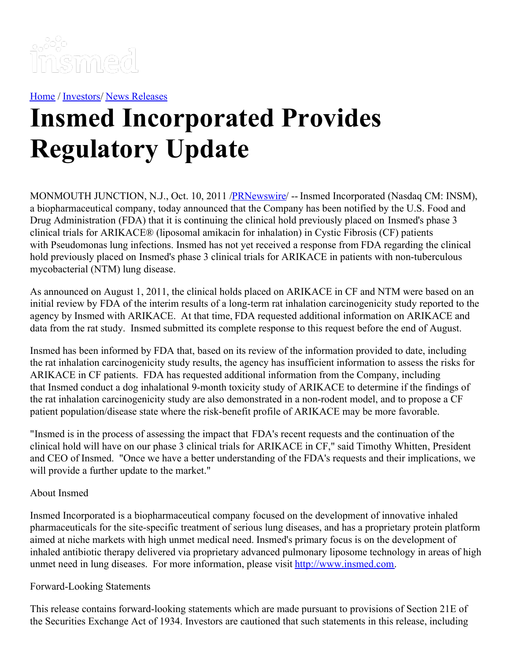

[Home](https://insmed.com/) / [Investors](https://investor.insmed.com/index)/ News [Releases](https://investor.insmed.com/releases)

## **Insmed Incorporated Provides Regulatory Update**

MONMOUTH JUNCTION, N.J., Oct. 10, 2011 /**PRNewswire/** -- Insmed Incorporated (Nasdaq CM: INSM), a biopharmaceutical company, today announced that the Company has been notified by the U.S. Food and Drug Administration (FDA) that it is continuing the clinical hold previously placed on Insmed's phase 3 clinical trials for ARIKACE® (liposomal amikacin for inhalation) in Cystic Fibrosis (CF) patients with Pseudomonas lung infections. Insmed has not yet received a response from FDA regarding the clinical hold previously placed on Insmed's phase 3 clinical trials for ARIKACE in patients with non-tuberculous mycobacterial (NTM) lung disease.

As announced on August 1, 2011, the clinical holds placed on ARIKACE in CF and NTM were based on an initial review by FDA of the interim results of a long-term rat inhalation carcinogenicity study reported to the agency by Insmed with ARIKACE. At that time, FDA requested additional information on ARIKACE and data from the rat study. Insmed submitted its complete response to this request before the end of August.

Insmed has been informed by FDA that, based on its review of the information provided to date, including the rat inhalation carcinogenicity study results, the agency has insufficient information to assess the risks for ARIKACE in CF patients. FDA has requested additional information from the Company, including that Insmed conduct a dog inhalational 9-month toxicity study of ARIKACE to determine if the findings of the rat inhalation carcinogenicity study are also demonstrated in a non-rodent model, and to propose a CF patient population/disease state where the risk-benefit profile of ARIKACE may be more favorable.

"Insmed is in the process of assessing the impact that FDA's recent requests and the continuation of the clinical hold will have on our phase 3 clinical trials for ARIKACE in CF," said Timothy Whitten, President and CEO of Insmed. "Once we have a better understanding of the FDA's requests and their implications, we will provide a further update to the market."

## About Insmed

Insmed Incorporated is a biopharmaceutical company focused on the development of innovative inhaled pharmaceuticals for the site-specific treatment of serious lung diseases, and has a proprietary protein platform aimed at niche markets with high unmet medical need. Insmed's primary focus is on the development of inhaled antibiotic therapy delivered via proprietary advanced pulmonary liposome technology in areas of high unmet need in lung diseases. For more information, please visit [http://www.insmed.com](http://www.insmed.com/).

## Forward-Looking Statements

This release contains forward-looking statements which are made pursuant to provisions of Section 21E of the Securities Exchange Act of 1934. Investors are cautioned that such statements in this release, including